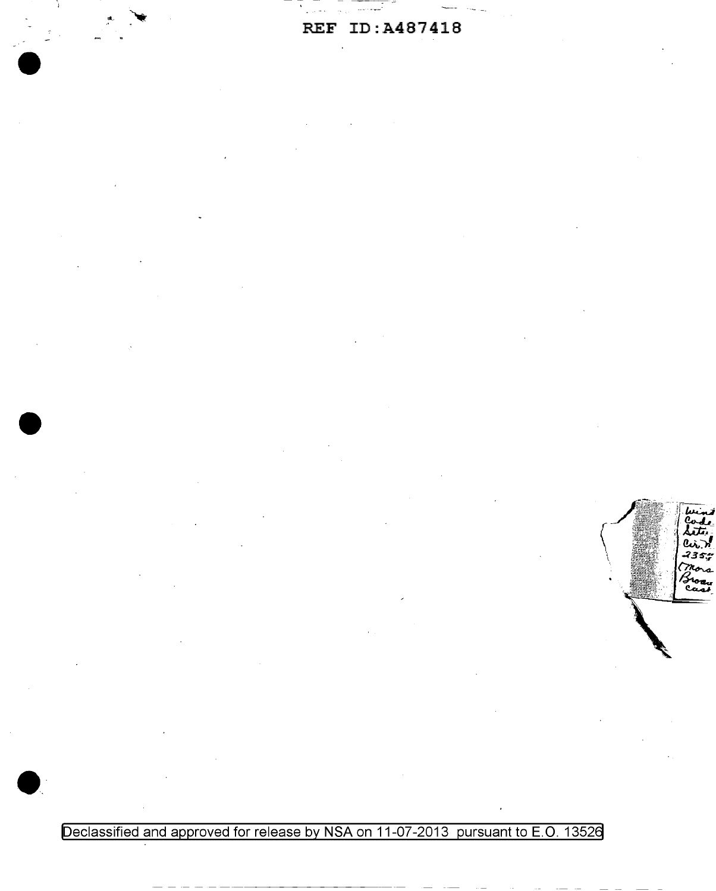Declassified and approved for release by NSA on 11-07-2013 pursuant to E.O. 13526

いふつ<br>?353

roa<br>Saai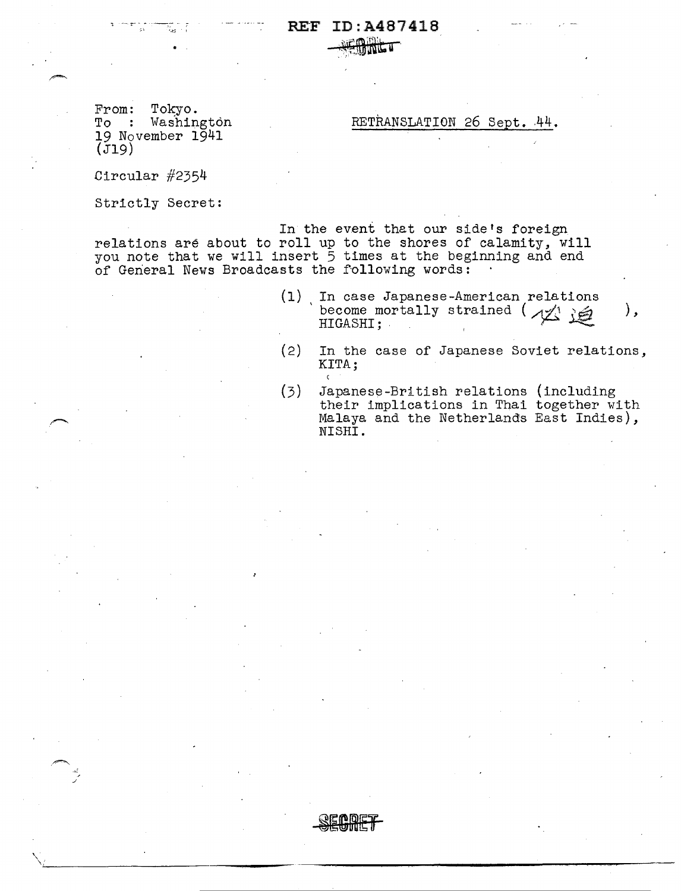$From:$ Tokyo. To : Washington 19 November 1941  $(j19)$ 

RETRANSLATION 26 Sept. 44.

Circular  $#2354$ 

Strictly Secret:

In the event that our side's foreign relations are about to roll up to the shores of calamity, will<br>you note that we will insert 5 times at the beginning and end of General News Broadcasts the following words:

- (1) In case Japanese-American relations become mortally strained (  $\sqrt{2}$  ) ), HIGASHI;
- In the case of Japanese Soviet relations,  $(2)$ KITA;  $\epsilon$
- Japanese-British relations (including<br>their implications in Thai together with  $(3)$ Malaya and the Netherlands East Indies), NISHI.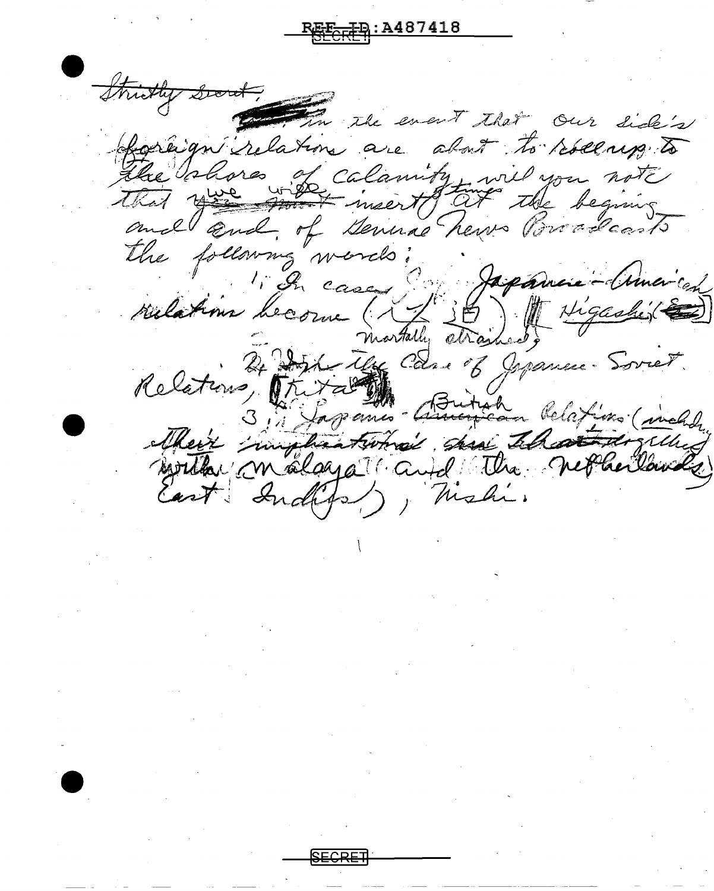Strictly Good In the event that Our Side's raign relations are about to reserve to The blores of calamity wil you note the following words: Japanese-(uncich) Lained) 1. In cases rulations become (XY martally as 24 Dert Use Can of Jepanne Soviet. Relations, Thir  $z^{\mu}$ 3, 4 Japanis - Amoycan Relations (includ Meix implications sur that the molen of East Independ , Mishi.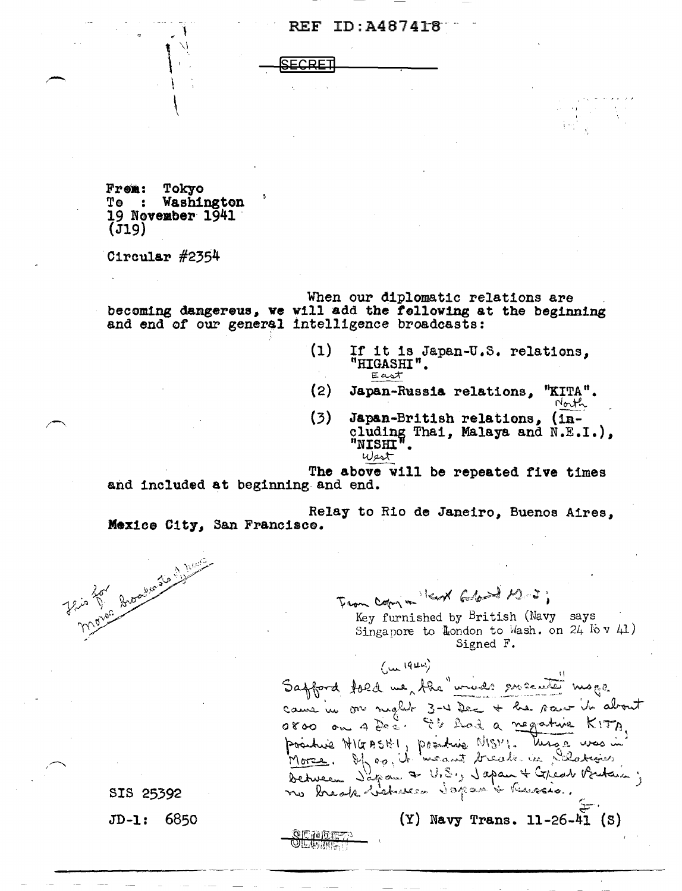**Frem: Tokyo<br>Te : Washington**  $19$  November  $1941$ (Jl9)

 $\left\vert \right\vert$ 

Circular  $#2354$ 

When our diplomatic relations are becoming dangereus, we will add the fellowing at the beginning and end of our general intelligence broadcasts:

> (1) If it is Japan-U.S. relations.  $"$ HIGASHI"

'I

- (2) Japan-Russia relations, "KITA".  $N_{\rm out}$
- (3) Japan-British relations, (in-<br>cluding Thai, Malaya and N.E.I.), "NISHI".  $w$ est

and included at beginning and end. The above will be repeated five times

Relay to Rio de Janeiro, Buenos Aires, Mex1ee City, San Francisco.

-----.....-------------------------------------



From Copy in Kert Ellend M.J.; Key furnished by British (Navy says

Singapore to London to Wash. on  $24$  lov  $41$ ) Signed F.

 $(Y)$  Navy Trans. 11-26-41 (S)

 $(1044)$ Safford fold we the "unids ensuited mage came in our night 3-4 Dec + he saw it about pointie NICEBSHI, pointine NISM. Mars. was in Detrueen Japan a V.S., Japan & Copear Britain; no break hickness Japan & Ressie.

SIS 25392 JD-1: 6850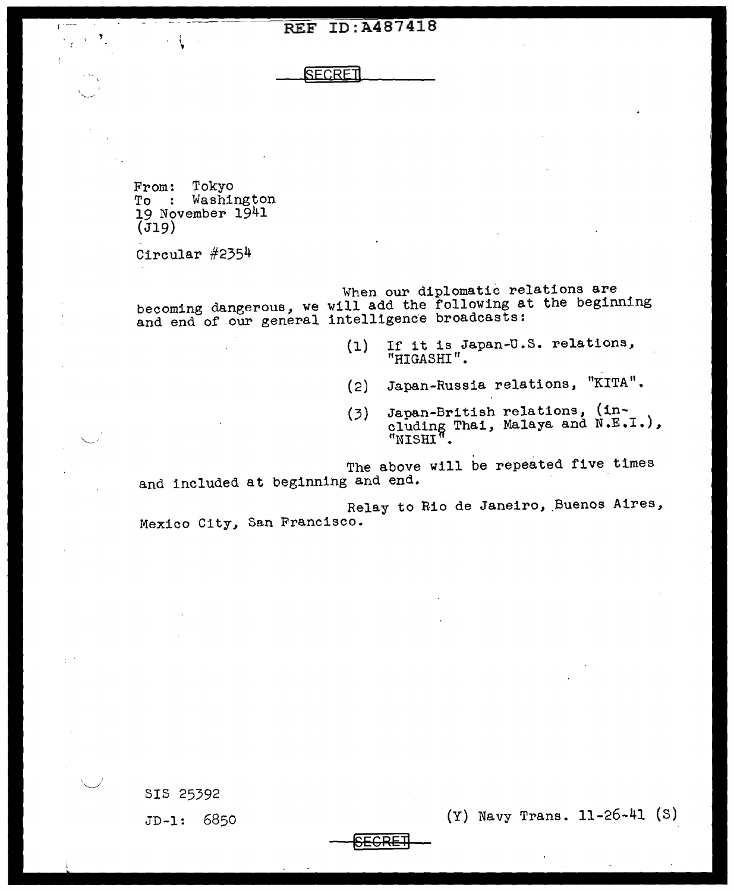**SECRET** 

From: Tokyo<br>To : Washington<br>19 November 1941  $(J19)$ 

 $\cdot$   $\cdot$ 

 $\overline{1}$ 

- Circular #2354

When our diplomatic relations are becoming dangerous, we will add the following at the beginning and end of our general intelligence broadcasts:

- $(1)$ If it is Japan-u.s. relations, "HIGASHI". .
- (2) Japan-Russia relations, "KITA".
- (3) Japan-British relations, (in- cluding Thai, Malaya and N.E.I.),  $"$ NISHI $"$ .

The above will be repeated five times and included at beginning and end.

Relay to Rio de Janeiro, Buenos Aires, Mexico City, San Francisco.

SIS 25392 JD-1: 6850

(Y) Navy Trans. 11-26-41 (S)